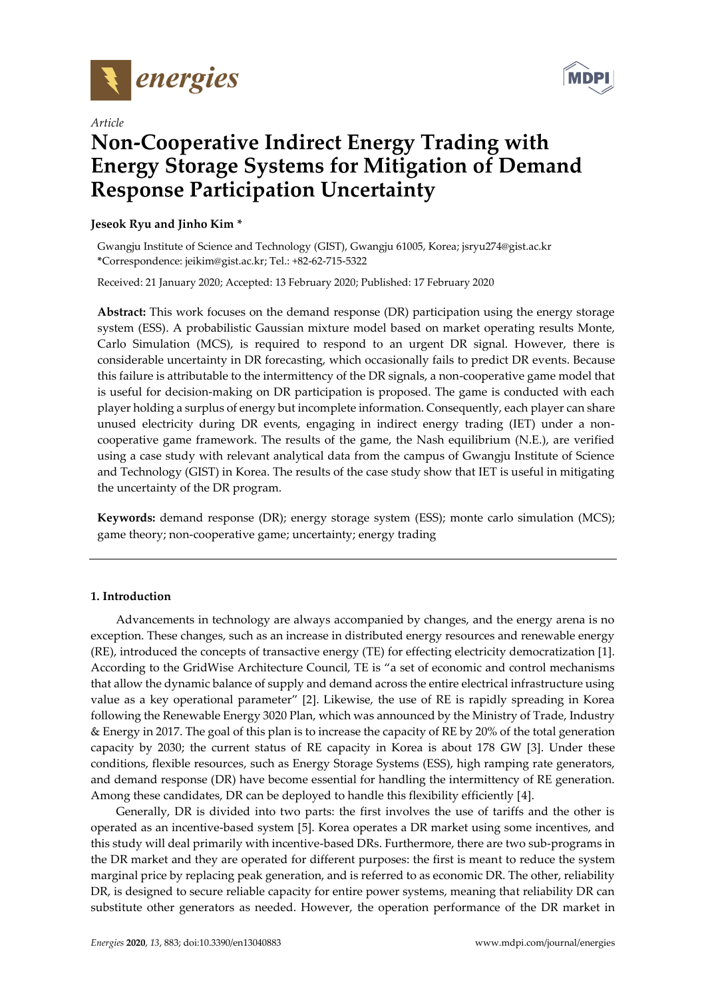

*Article*

# **Non-Cooperative Indirect Energy Trading with Energy Storage Systems for Mitigation of Demand Response Participation Uncertainty**

# **Jeseok Ryu and Jinho Kim \***

Gwangju Institute of Science and Technology (GIST), Gwangju 61005, Korea; jsryu274@gist.ac.kr **\***Correspondence: jeikim@gist.ac.kr; Tel.: +82-62-715-5322

Received: 21 January 2020; Accepted: 13 February 2020; Published: 17 February 2020

**Abstract:** This work focuses on the demand response (DR) participation using the energy storage system (ESS). A probabilistic Gaussian mixture model based on market operating results Monte, Carlo Simulation (MCS), is required to respond to an urgent DR signal. However, there is considerable uncertainty in DR forecasting, which occasionally fails to predict DR events. Because this failure is attributable to the intermittency of the DR signals, a non-cooperative game model that is useful for decision-making on DR participation is proposed. The game is conducted with each player holding a surplus of energy but incomplete information. Consequently, each player can share unused electricity during DR events, engaging in indirect energy trading (IET) under a noncooperative game framework. The results of the game, the Nash equilibrium (N.E.), are verified using a case study with relevant analytical data from the campus of Gwangju Institute of Science and Technology (GIST) in Korea. The results of the case study show that IET is useful in mitigating the uncertainty of the DR program.

**Keywords:** demand response (DR); energy storage system (ESS); monte carlo simulation (MCS); game theory; non-cooperative game; uncertainty; energy trading

# **1. Introduction**

Advancements in technology are always accompanied by changes, and the energy arena is no exception. These changes, such as an increase in distributed energy resources and renewable energy (RE), introduced the concepts of transactive energy (TE) for effecting electricity democratization [1]. According to the GridWise Architecture Council, TE is "a set of economic and control mechanisms that allow the dynamic balance of supply and demand across the entire electrical infrastructure using value as a key operational parameter" [2]. Likewise, the use of RE is rapidly spreading in Korea following the Renewable Energy 3020 Plan, which was announced by the Ministry of Trade, Industry & Energy in 2017. The goal of this plan is to increase the capacity of RE by 20% of the total generation capacity by 2030; the current status of RE capacity in Korea is about 178 GW [3]. Under these conditions, flexible resources, such as Energy Storage Systems (ESS), high ramping rate generators, and demand response (DR) have become essential for handling the intermittency of RE generation. Among these candidates, DR can be deployed to handle this flexibility efficiently [4].

Generally, DR is divided into two parts: the first involves the use of tariffs and the other is operated as an incentive-based system [5]. Korea operates a DR market using some incentives, and this study will deal primarily with incentive-based DRs. Furthermore, there are two sub-programs in the DR market and they are operated for different purposes: the first is meant to reduce the system marginal price by replacing peak generation, and is referred to as economic DR. The other, reliability DR, is designed to secure reliable capacity for entire power systems, meaning that reliability DR can substitute other generators as needed. However, the operation performance of the DR market in

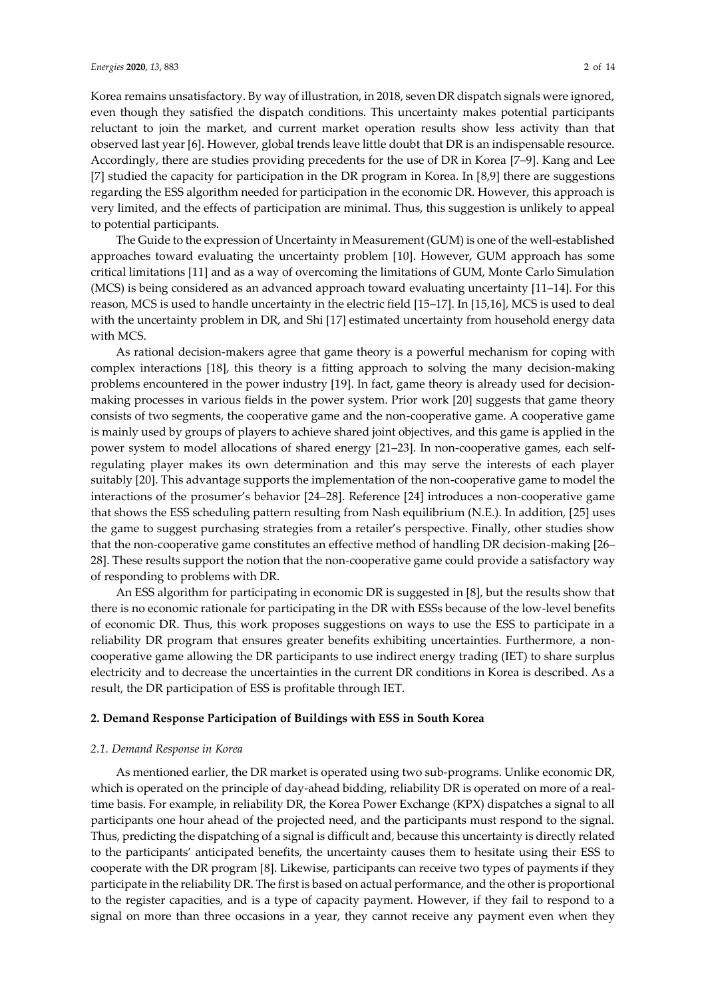Korea remains unsatisfactory. By way of illustration, in 2018, seven DR dispatch signals were ignored, even though they satisfied the dispatch conditions. This uncertainty makes potential participants reluctant to join the market, and current market operation results show less activity than that observed last year [6]. However, global trends leave little doubt that DR is an indispensable resource. Accordingly, there are studies providing precedents for the use of DR in Korea [7–9]. Kang and Lee [7] studied the capacity for participation in the DR program in Korea. In [8,9] there are suggestions regarding the ESS algorithm needed for participation in the economic DR. However, this approach is very limited, and the effects of participation are minimal. Thus, this suggestion is unlikely to appeal to potential participants.

The Guide to the expression of Uncertainty in Measurement (GUM) is one of the well-established approaches toward evaluating the uncertainty problem [10]. However, GUM approach has some critical limitations [11] and as a way of overcoming the limitations of GUM, Monte Carlo Simulation (MCS) is being considered as an advanced approach toward evaluating uncertainty [11–14]. For this reason, MCS is used to handle uncertainty in the electric field [15–17]. In [15,16], MCS is used to deal with the uncertainty problem in DR, and Shi [17] estimated uncertainty from household energy data with MCS.

As rational decision-makers agree that game theory is a powerful mechanism for coping with complex interactions [18], this theory is a fitting approach to solving the many decision-making problems encountered in the power industry [19]. In fact, game theory is already used for decisionmaking processes in various fields in the power system. Prior work [20] suggests that game theory consists of two segments, the cooperative game and the non-cooperative game. A cooperative game is mainly used by groups of players to achieve shared joint objectives, and this game is applied in the power system to model allocations of shared energy [21–23]. In non-cooperative games, each selfregulating player makes its own determination and this may serve the interests of each player suitably [20]. This advantage supports the implementation of the non-cooperative game to model the interactions of the prosumer's behavior [24–28]. Reference [24] introduces a non-cooperative game that shows the ESS scheduling pattern resulting from Nash equilibrium (N.E.). In addition, [25] uses the game to suggest purchasing strategies from a retailer's perspective. Finally, other studies show that the non-cooperative game constitutes an effective method of handling DR decision-making [26– 28]. These results support the notion that the non-cooperative game could provide a satisfactory way of responding to problems with DR.

An ESS algorithm for participating in economic DR is suggested in [8], but the results show that there is no economic rationale for participating in the DR with ESSs because of the low-level benefits of economic DR. Thus, this work proposes suggestions on ways to use the ESS to participate in a reliability DR program that ensures greater benefits exhibiting uncertainties. Furthermore, a noncooperative game allowing the DR participants to use indirect energy trading (IET) to share surplus electricity and to decrease the uncertainties in the current DR conditions in Korea is described. As a result, the DR participation of ESS is profitable through IET.

## **2. Demand Response Participation of Buildings with ESS in South Korea**

#### *2.1. Demand Response in Korea*

As mentioned earlier, the DR market is operated using two sub-programs. Unlike economic DR, which is operated on the principle of day-ahead bidding, reliability DR is operated on more of a realtime basis. For example, in reliability DR, the Korea Power Exchange (KPX) dispatches a signal to all participants one hour ahead of the projected need, and the participants must respond to the signal. Thus, predicting the dispatching of a signal is difficult and, because this uncertainty is directly related to the participants' anticipated benefits, the uncertainty causes them to hesitate using their ESS to cooperate with the DR program [8]. Likewise, participants can receive two types of payments if they participate in the reliability DR. The first is based on actual performance, and the other is proportional to the register capacities, and is a type of capacity payment. However, if they fail to respond to a signal on more than three occasions in a year, they cannot receive any payment even when they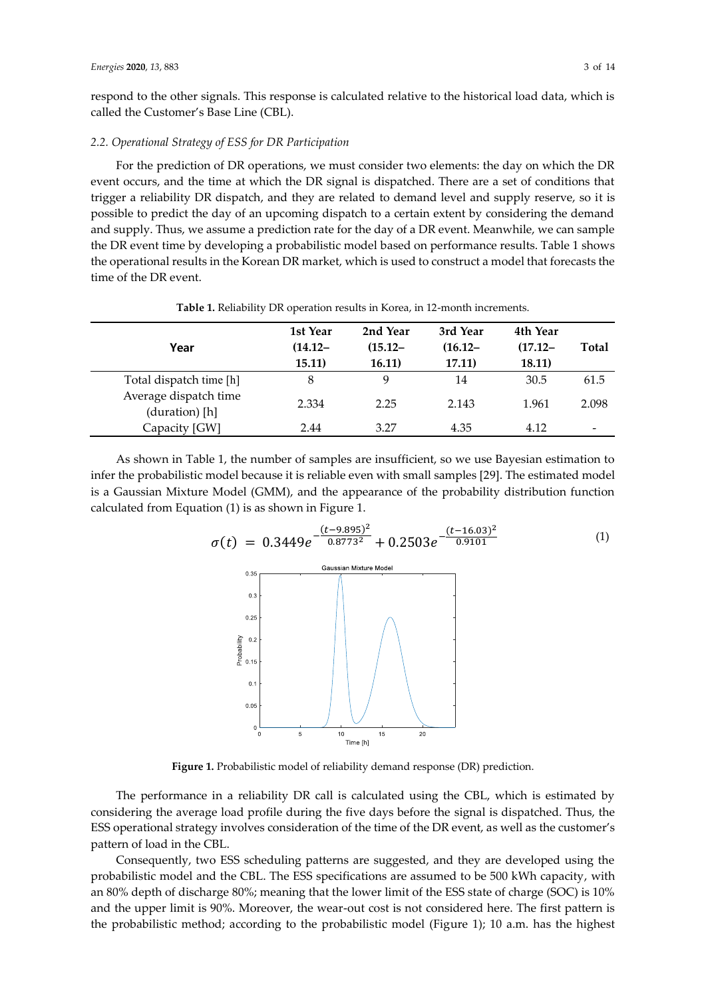respond to the other signals. This response is calculated relative to the historical load data, which is called the Customer's Base Line (CBL).

#### *2.2. Operational Strategy of ESS for DR Participation*

For the prediction of DR operations, we must consider two elements: the day on which the DR event occurs, and the time at which the DR signal is dispatched. There are a set of conditions that trigger a reliability DR dispatch, and they are related to demand level and supply reserve, so it is possible to predict the day of an upcoming dispatch to a certain extent by considering the demand and supply. Thus, we assume a prediction rate for the day of a DR event. Meanwhile, we can sample the DR event time by developing a probabilistic model based on performance results. Table 1 shows the operational results in the Korean DR market, which is used to construct a model that forecasts the time of the DR event.

| Year                                    | 1st Year<br>$(14.12 -$<br>15.11) | 2nd Year<br>$(15.12 -$<br>16.11) | 3rd Year<br>$(16.12 -$<br>17.11) | 4th Year<br>$(17.12 -$<br>18.11) | <b>Total</b> |
|-----------------------------------------|----------------------------------|----------------------------------|----------------------------------|----------------------------------|--------------|
| Total dispatch time [h]                 | 8                                | 9                                | 14                               | 30.5                             | 61.5         |
| Average dispatch time<br>(duration) [h] | 2.334                            | 2.25                             | 2.143                            | 1.961                            | 2.098        |
| Capacity [GW]                           | 2.44                             | 3.27                             | 4.35                             | 4.12                             |              |

**Table 1.** Reliability DR operation results in Korea, in 12-month increments.

As shown in Table 1, the number of samples are insufficient, so we use Bayesian estimation to infer the probabilistic model because it is reliable even with small samples [29]. The estimated model is a Gaussian Mixture Model (GMM), and the appearance of the probability distribution function calculated from Equation (1) is as shown in Figure 1.



Figure 1. Probabilistic model of reliability demand response (DR) prediction.

The performance in a reliability DR call is calculated using the CBL, which is estimated by considering the average load profile during the five days before the signal is dispatched. Thus, the ESS operational strategy involves consideration of the time of the DR event, as well as the customer's pattern of load in the CBL.

Consequently, two ESS scheduling patterns are suggested, and they are developed using the probabilistic model and the CBL. The ESS specifications are assumed to be 500 kWh capacity, with an 80% depth of discharge 80%; meaning that the lower limit of the ESS state of charge (SOC) is 10% and the upper limit is 90%. Moreover, the wear-out cost is not considered here. The first pattern is the probabilistic method; according to the probabilistic model (Figure 1); 10 a.m. has the highest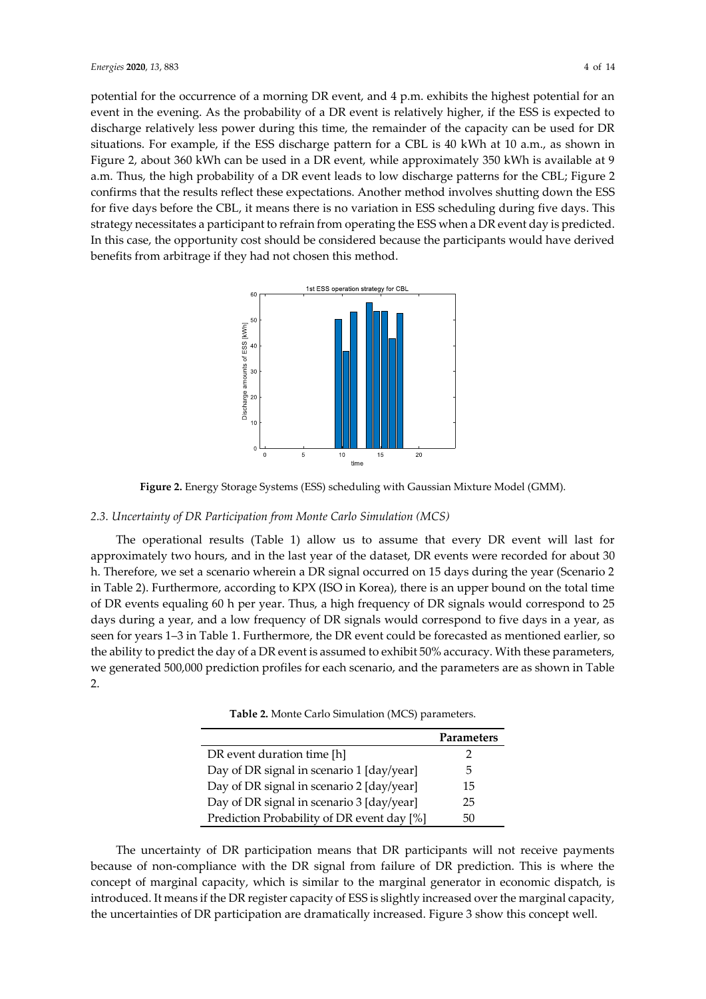potential for the occurrence of a morning DR event, and 4 p.m. exhibits the highest potential for an event in the evening. As the probability of a DR event is relatively higher, if the ESS is expected to discharge relatively less power during this time, the remainder of the capacity can be used for DR situations. For example, if the ESS discharge pattern for a CBL is 40 kWh at 10 a.m., as shown in Figure 2, about 360 kWh can be used in a DR event, while approximately 350 kWh is available at 9 a.m. Thus, the high probability of a DR event leads to low discharge patterns for the CBL; Figure 2 confirms that the results reflect these expectations. Another method involves shutting down the ESS for five days before the CBL, it means there is no variation in ESS scheduling during five days. This strategy necessitates a participant to refrain from operating the ESS when a DR event day is predicted. In this case, the opportunity cost should be considered because the participants would have derived benefits from arbitrage if they had not chosen this method.



**Figure 2.** Energy Storage Systems (ESS) scheduling with Gaussian Mixture Model (GMM).

# *2.3. Uncertainty of DR Participation from Monte Carlo Simulation (MCS)*

The operational results (Table 1) allow us to assume that every DR event will last for approximately two hours, and in the last year of the dataset, DR events were recorded for about 30 h. Therefore, we set a scenario wherein a DR signal occurred on 15 days during the year (Scenario 2 in Table 2). Furthermore, according to KPX (ISO in Korea), there is an upper bound on the total time of DR events equaling 60 h per year. Thus, a high frequency of DR signals would correspond to 25 days during a year, and a low frequency of DR signals would correspond to five days in a year, as seen for years 1–3 in Table 1. Furthermore, the DR event could be forecasted as mentioned earlier, so the ability to predict the day of a DR event is assumed to exhibit 50% accuracy. With these parameters, we generated 500,000 prediction profiles for each scenario, and the parameters are as shown in Table 2.

| Table 2. Monte Carlo Simulation (MCS) parameters. |  |  |
|---------------------------------------------------|--|--|
|---------------------------------------------------|--|--|

|                                            | Parameters |
|--------------------------------------------|------------|
| DR event duration time [h]                 |            |
| Day of DR signal in scenario 1 [day/year]  | .5         |
| Day of DR signal in scenario 2 [day/year]  | 15         |
| Day of DR signal in scenario 3 [day/year]  | 25         |
| Prediction Probability of DR event day [%] | 50         |

The uncertainty of DR participation means that DR participants will not receive payments because of non-compliance with the DR signal from failure of DR prediction. This is where the concept of marginal capacity, which is similar to the marginal generator in economic dispatch, is introduced. It means if the DR register capacity of ESS is slightly increased over the marginal capacity, the uncertainties of DR participation are dramatically increased. Figure 3 show this concept well.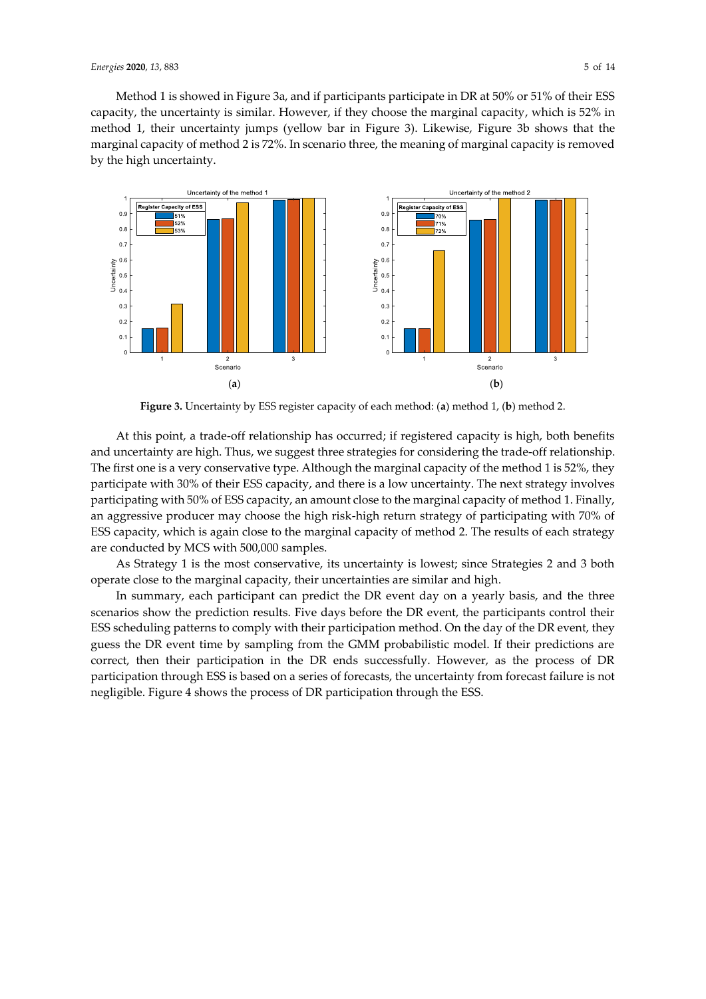Method 1 is showed in Figure 3a, and if participants participate in DR at 50% or 51% of their ESS capacity, the uncertainty is similar. However, if they choose the marginal capacity, which is 52% in method 1, their uncertainty jumps (yellow bar in Figure 3). Likewise, Figure 3b shows that the marginal capacity of method 2 is 72%. In scenario three, the meaning of marginal capacity is removed by the high uncertainty.



**Figure 3.** Uncertainty by ESS register capacity of each method: (**a**) method 1, (**b**) method 2.

At this point, a trade-off relationship has occurred; if registered capacity is high, both benefits and uncertainty are high. Thus, we suggest three strategies for considering the trade-off relationship. The first one is a very conservative type. Although the marginal capacity of the method 1 is 52%, they participate with 30% of their ESS capacity, and there is a low uncertainty. The next strategy involves participating with 50% of ESS capacity, an amount close to the marginal capacity of method 1. Finally, an aggressive producer may choose the high risk-high return strategy of participating with 70% of ESS capacity, which is again close to the marginal capacity of method 2. The results of each strategy are conducted by MCS with 500,000 samples.

As Strategy 1 is the most conservative, its uncertainty is lowest; since Strategies 2 and 3 both operate close to the marginal capacity, their uncertainties are similar and high.

In summary, each participant can predict the DR event day on a yearly basis, and the three scenarios show the prediction results. Five days before the DR event, the participants control their ESS scheduling patterns to comply with their participation method. On the day of the DR event, they guess the DR event time by sampling from the GMM probabilistic model. If their predictions are correct, then their participation in the DR ends successfully. However, as the process of DR participation through ESS is based on a series of forecasts, the uncertainty from forecast failure is not negligible. Figure 4 shows the process of DR participation through the ESS.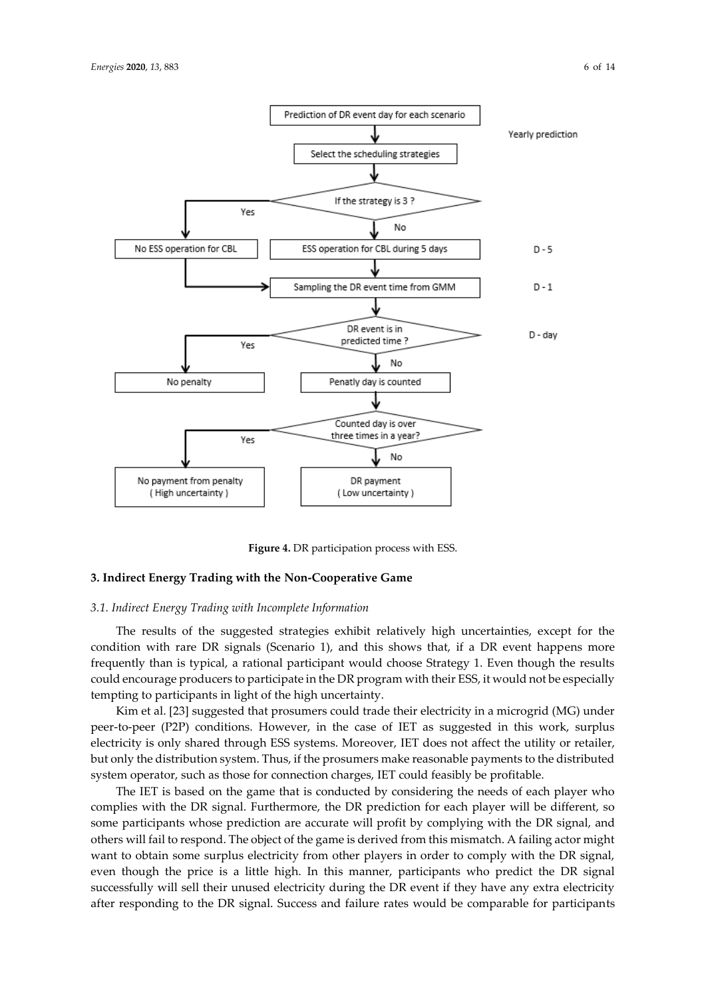

**Figure 4.** DR participation process with ESS.

# **3. Indirect Energy Trading with the Non-Cooperative Game**

#### *3.1. Indirect Energy Trading with Incomplete Information*

The results of the suggested strategies exhibit relatively high uncertainties, except for the condition with rare DR signals (Scenario 1), and this shows that, if a DR event happens more frequently than is typical, a rational participant would choose Strategy 1. Even though the results could encourage producers to participate in the DR program with their ESS, it would not be especially tempting to participants in light of the high uncertainty.

Kim et al. [23] suggested that prosumers could trade their electricity in a microgrid (MG) under peer-to-peer (P2P) conditions. However, in the case of IET as suggested in this work, surplus electricity is only shared through ESS systems. Moreover, IET does not affect the utility or retailer, but only the distribution system. Thus, if the prosumers make reasonable payments to the distributed system operator, such as those for connection charges, IET could feasibly be profitable.

The IET is based on the game that is conducted by considering the needs of each player who complies with the DR signal. Furthermore, the DR prediction for each player will be different, so some participants whose prediction are accurate will profit by complying with the DR signal, and others will fail to respond. The object of the game is derived from this mismatch. A failing actor might want to obtain some surplus electricity from other players in order to comply with the DR signal, even though the price is a little high. In this manner, participants who predict the DR signal successfully will sell their unused electricity during the DR event if they have any extra electricity after responding to the DR signal. Success and failure rates would be comparable for participants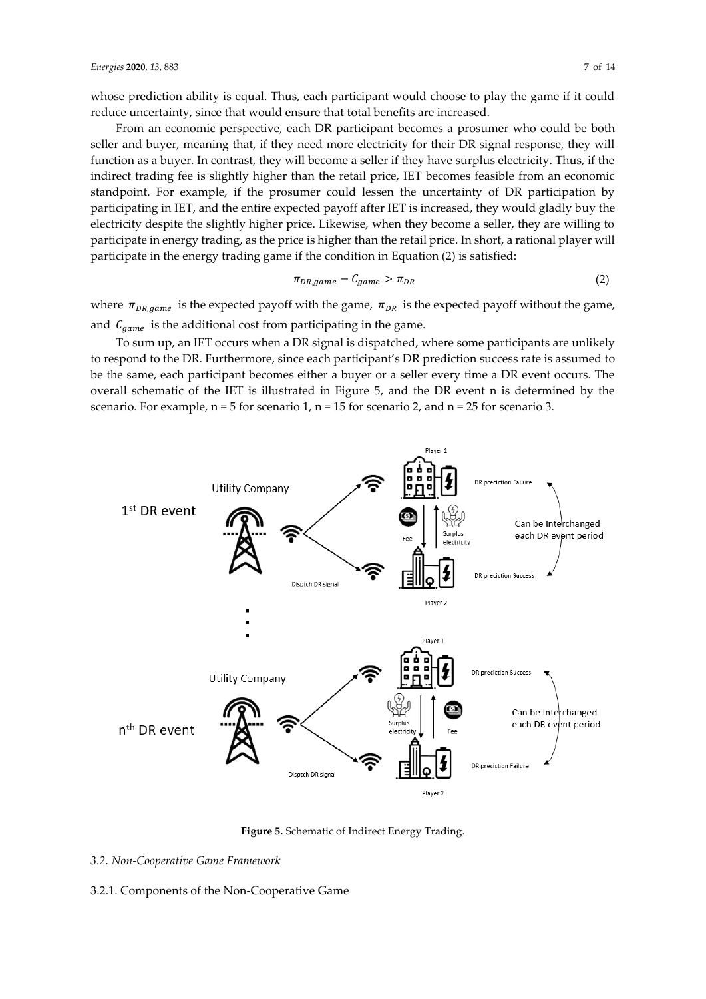whose prediction ability is equal. Thus, each participant would choose to play the game if it could reduce uncertainty, since that would ensure that total benefits are increased.

From an economic perspective, each DR participant becomes a prosumer who could be both seller and buyer, meaning that, if they need more electricity for their DR signal response, they will function as a buyer. In contrast, they will become a seller if they have surplus electricity. Thus, if the indirect trading fee is slightly higher than the retail price, IET becomes feasible from an economic standpoint. For example, if the prosumer could lessen the uncertainty of DR participation by participating in IET, and the entire expected payoff after IET is increased, they would gladly buy the electricity despite the slightly higher price. Likewise, when they become a seller, they are willing to participate in energy trading, as the price is higher than the retail price. In short, a rational player will participate in the energy trading game if the condition in Equation (2) is satisfied:

$$
\pi_{DR, game} - C_{game} > \pi_{DR} \tag{2}
$$

where  $\pi_{DR,game}$  is the expected payoff with the game,  $\pi_{DR}$  is the expected payoff without the game, and  $C_{game}$  is the additional cost from participating in the game.

To sum up, an IET occurs when a DR signal is dispatched, where some participants are unlikely to respond to the DR. Furthermore, since each participant's DR prediction success rate is assumed to be the same, each participant becomes either a buyer or a seller every time a DR event occurs. The overall schematic of the IET is illustrated in Figure 5, and the DR event n is determined by the scenario. For example,  $n = 5$  for scenario 1,  $n = 15$  for scenario 2, and  $n = 25$  for scenario 3.



**Figure 5.** Schematic of Indirect Energy Trading.

3.2.1. Components of the Non-Cooperative Game

*<sup>3.2.</sup> Non-Cooperative Game Framework*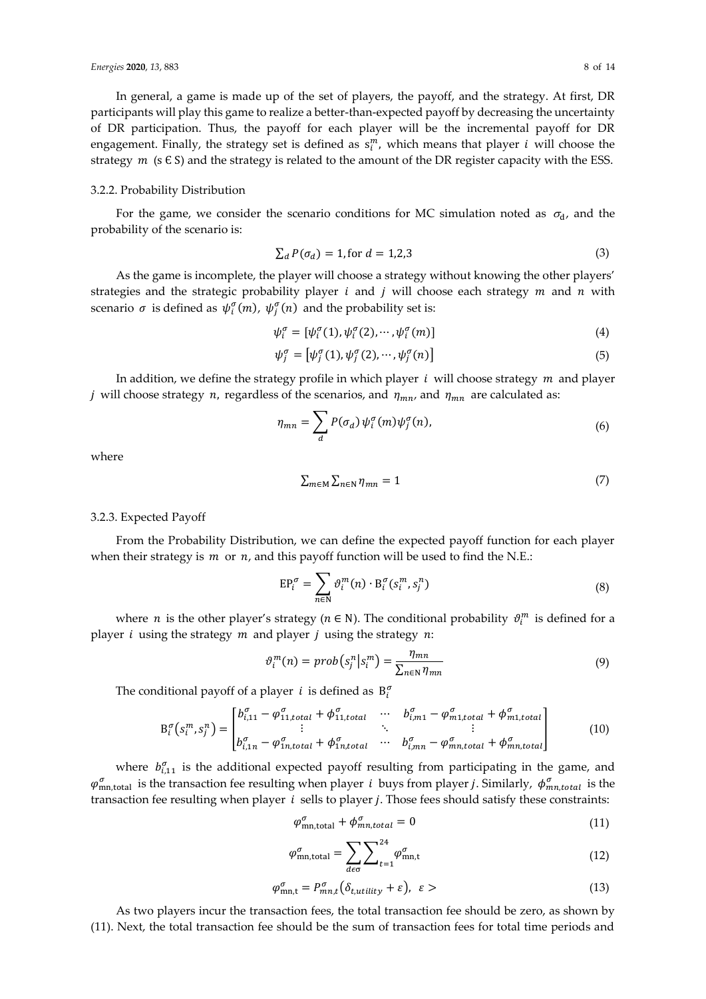In general, a game is made up of the set of players, the payoff, and the strategy. At first, DR participants will play this game to realize a better-than-expected payoff by decreasing the uncertainty of DR participation. Thus, the payoff for each player will be the incremental payoff for DR engagement. Finally, the strategy set is defined as  $s_i^m$ , which means that player *i* will choose the strategy  $m$  (s  $\in$  S) and the strategy is related to the amount of the DR register capacity with the ESS.

#### 3.2.2. Probability Distribution

For the game, we consider the scenario conditions for MC simulation noted as  $\sigma_d$ , and the probability of the scenario is:

$$
\sum_{d} P(\sigma_d) = 1, \text{for } d = 1, 2, 3 \tag{3}
$$

As the game is incomplete, the player will choose a strategy without knowing the other players' strategies and the strategic probability player  $i$  and  $j$  will choose each strategy  $m$  and  $n$  with scenario  $\sigma$  is defined as  $\psi_i^{\sigma}(m)$ ,  $\psi_j^{\sigma}(n)$  and the probability set is:

$$
\psi_i^{\sigma} = [\psi_i^{\sigma}(1), \psi_i^{\sigma}(2), \cdots, \psi_i^{\sigma}(m)] \tag{4}
$$

$$
\psi_j^{\sigma} = \left[ \psi_j^{\sigma}(1), \psi_j^{\sigma}(2), \cdots, \psi_j^{\sigma}(n) \right] \tag{5}
$$

In addition, we define the strategy profile in which player  $i$  will choose strategy  $m$  and player *j* will choose strategy *n*, regardless of the scenarios, and  $\eta_{mn}$ , and  $\eta_{mn}$  are calculated as:

$$
\eta_{mn} = \sum_{d} P(\sigma_d) \psi_i^{\sigma}(m) \psi_j^{\sigma}(n), \qquad (6)
$$

where

$$
\sum_{m \in \mathbf{M}} \sum_{n \in \mathbf{N}} \eta_{mn} = 1 \tag{7}
$$

## 3.2.3. Expected Payoff

From the Probability Distribution, we can define the expected payoff function for each player when their strategy is  $m$  or  $n$ , and this payoff function will be used to find the N.E.:

$$
EP_i^{\sigma} = \sum_{n \in \mathbb{N}} \vartheta_i^m(n) \cdot B_i^{\sigma}(s_i^m, s_j^n)
$$
\n(8)

where *n* is the other player's strategy ( $n \in \mathbb{N}$ ). The conditional probability  $\vartheta_i^m$  is defined for a player *i* using the strategy  $m$  and player *j* using the strategy  $n$ :

$$
\vartheta_i^m(n) = prob(s_i^n | s_i^m) = \frac{\eta_{mn}}{\sum_{n \in \mathbb{N}} \eta_{mn}} \tag{9}
$$

The conditional payoff of a player *i* is defined as  $B_i^{\sigma}$ 

$$
\mathbf{B}_{i}^{\sigma}(s_{i}^{m},s_{j}^{n}) = \begin{bmatrix} b_{i,11}^{\sigma} - \varphi_{11,total}^{\sigma} + \varphi_{11,total}^{\sigma} & \cdots & b_{i,m1}^{\sigma} - \varphi_{m1,total}^{\sigma} + \varphi_{m1,total}^{\sigma} \\ \vdots & \ddots & \vdots \\ b_{i,1n}^{\sigma} - \varphi_{1n,total}^{\sigma} + \varphi_{1n,total}^{\sigma} & \cdots & b_{i,mn}^{\sigma} - \varphi_{mn,total}^{\sigma} + \varphi_{mn,total}^{\sigma} \end{bmatrix}
$$
(10)

where  $b_{i,11}^{\sigma}$  is the additional expected payoff resulting from participating in the game, and  $\varphi_{mn, total}^{\sigma}$  is the transaction fee resulting when player *i* buys from player *j*. Similarly,  $\varphi_{mn, total}^{\sigma}$  is the transaction fee resulting when player  $i$  sells to player  $j$ . Those fees should satisfy these constraints:

$$
\varphi_{mn, total}^{\sigma} + \varphi_{mn, total}^{\sigma} = 0 \tag{11}
$$

$$
\varphi_{mn, \text{total}}^{\sigma} = \sum_{d \in \sigma} \sum_{t=1}^{24} \varphi_{mn, t}^{\sigma} \tag{12}
$$

$$
\varphi_{mn,t}^{\sigma} = P_{mn,t}^{\sigma} \big( \delta_{t,utility} + \varepsilon \big), \ \varepsilon >
$$
\n(13)

As two players incur the transaction fees, the total transaction fee should be zero, as shown by (11). Next, the total transaction fee should be the sum of transaction fees for total time periods and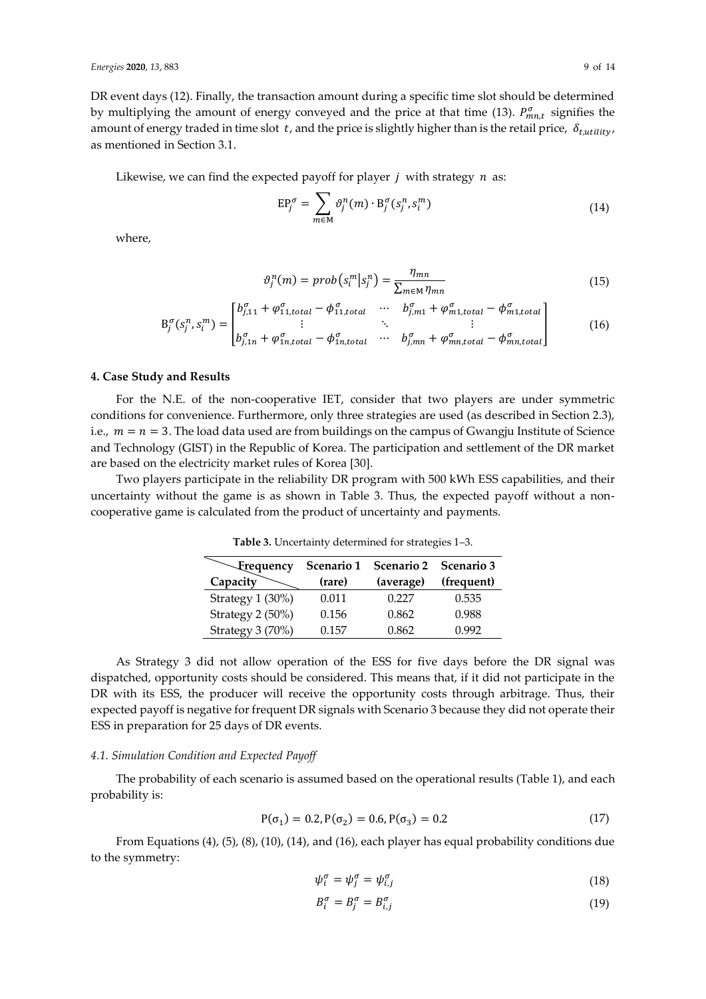Likewise, we can find the expected payoff for player  $j$  with strategy  $n$  as:

$$
EP_j^{\sigma} = \sum_{m \in M} \vartheta_j^n(m) \cdot B_j^{\sigma}(s_j^n, s_i^m)
$$
 (14)

where,

$$
\vartheta_j^n(m) = prob(s_i^m | s_j^n) = \frac{\eta_{mn}}{\sum_{m \in \mathbb{M}} \eta_{mn}} \tag{15}
$$

$$
B_j^{\sigma}(s_j^n, s_i^m) = \begin{bmatrix} b_{j,11}^{\sigma} + \varphi_{11,total}^{\sigma} - \varphi_{11,total}^{\sigma} & \cdots & b_{j,m1}^{\sigma} + \varphi_{m1,total}^{\sigma} - \varphi_{m1,total}^{\sigma} \\ \vdots & \ddots & \vdots \\ b_{j,1n}^{\sigma} + \varphi_{1n,total}^{\sigma} - \varphi_{1n,total}^{\sigma} & \cdots & b_{j,mn}^{\sigma} + \varphi_{mn,total}^{\sigma} - \varphi_{mn,total}^{\sigma} \end{bmatrix}
$$
(16)

#### **4. Case Study and Results**

For the N.E. of the non-cooperative IET, consider that two players are under symmetric conditions for convenience. Furthermore, only three strategies are used (as described in Section 2.3), i.e.,  $m = n = 3$ . The load data used are from buildings on the campus of Gwangju Institute of Science and Technology (GIST) in the Republic of Korea. The participation and settlement of the DR market are based on the electricity market rules of Korea [30].

Two players participate in the reliability DR program with 500 kWh ESS capabilities, and their uncertainty without the game is as shown in Table 3. Thus, the expected payoff without a noncooperative game is calculated from the product of uncertainty and payments.

| Frequency        |        | Scenario 1 Scenario 2 Scenario 3 |            |
|------------------|--------|----------------------------------|------------|
| Capacity         | (rare) | (average)                        | (frequent) |
| Strategy 1 (30%) | 0.011  | 0.227                            | 0.535      |
| Strategy 2 (50%) | 0.156  | 0.862                            | 0.988      |
| Strategy 3 (70%) | በ 157  | በ 862                            | 1992       |

**Table 3.** Uncertainty determined for strategies 1–3.

As Strategy 3 did not allow operation of the ESS for five days before the DR signal was dispatched, opportunity costs should be considered. This means that, if it did not participate in the DR with its ESS, the producer will receive the opportunity costs through arbitrage. Thus, their expected payoff is negative for frequent DR signals with Scenario 3 because they did not operate their ESS in preparation for 25 days of DR events.

#### *4.1. Simulation Condition and Expected Payoff*

The probability of each scenario is assumed based on the operational results (Table 1), and each probability is:

$$
P(\sigma_1) = 0.2, P(\sigma_2) = 0.6, P(\sigma_3) = 0.2
$$
\n(17)

From Equations (4), (5), (8), (10), (14), and (16), each player has equal probability conditions due to the symmetry:

$$
\psi_i^{\sigma} = \psi_j^{\sigma} = \psi_{i,j}^{\sigma} \tag{18}
$$

$$
B_i^{\sigma} = B_j^{\sigma} = B_{i,j}^{\sigma} \tag{19}
$$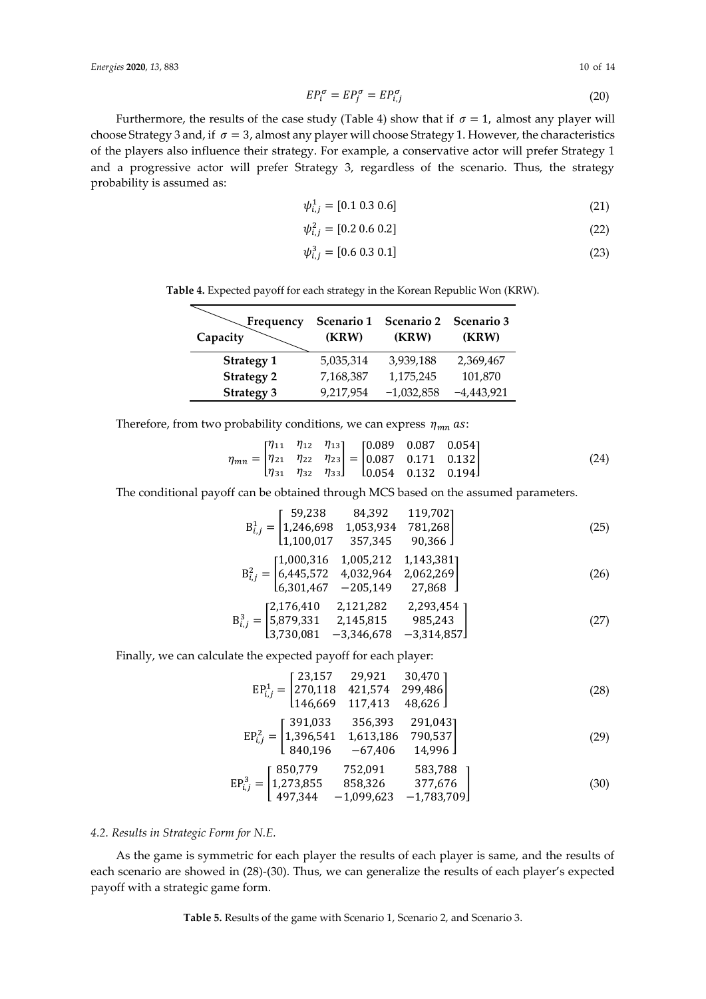$$
EP_i^{\sigma} = EP_j^{\sigma} = EP_{i,j}^{\sigma}
$$
 (20)

Furthermore, the results of the case study (Table 4) show that if  $\sigma = 1$ , almost any player will choose Strategy 3 and, if  $\sigma = 3$ , almost any player will choose Strategy 1. However, the characteristics of the players also influence their strategy. For example, a conservative actor will prefer Strategy 1 and a progressive actor will prefer Strategy 3, regardless of the scenario. Thus, the strategy probability is assumed as:

$$
\psi_{i,j}^1 = [0.1 \ 0.3 \ 0.6] \tag{21}
$$

$$
\psi_{i,j}^2 = [0.2 \ 0.6 \ 0.2] \tag{22}
$$

$$
\psi_{i,j}^3 = [0.6 \ 0.3 \ 0.1] \tag{23}
$$

| Table 4. Expected payoff for each strategy in the Korean Republic Won (KRW). |  |  |  |  |  |
|------------------------------------------------------------------------------|--|--|--|--|--|
|------------------------------------------------------------------------------|--|--|--|--|--|

| Frequency<br>Capacity | Scenario 1<br>(KRW) | Scenario 2<br>(KRW) | Scenario 3<br>(KRW) |
|-----------------------|---------------------|---------------------|---------------------|
| Strategy 1            | 5,035,314           | 3,939,188           | 2,369,467           |
| <b>Strategy 2</b>     | 7,168,387           | 1,175,245           | 101,870             |
| <b>Strategy 3</b>     | 9,217,954           | $-1,032,858$        | $-4,443,921$        |

Therefore, from two probability conditions, we can express  $\eta_{mn}$  as:

$$
\eta_{mn} = \begin{bmatrix} \eta_{11} & \eta_{12} & \eta_{13} \\ \eta_{21} & \eta_{22} & \eta_{23} \\ \eta_{31} & \eta_{32} & \eta_{33} \end{bmatrix} = \begin{bmatrix} 0.089 & 0.087 & 0.054 \\ 0.087 & 0.171 & 0.132 \\ 0.054 & 0.132 & 0.194 \end{bmatrix}
$$
(24)

The conditional payoff can be obtained through MCS based on the assumed parameters.

$$
B_{i,j}^{1} = \begin{bmatrix} 59,238 & 84,392 & 119,702 \\ 1,246,698 & 1,053,934 & 781,268 \\ 1,100,017 & 357,345 & 90,366 \end{bmatrix}
$$
(25)

$$
B_{i,j}^2 = \begin{bmatrix} 1,000,316 & 1,005,212 & 1,143,381 \\ 6,445,572 & 4,032,964 & 2,062,269 \\ 6,301,467 & -205,149 & 27,868 \end{bmatrix}
$$
(26)

$$
B_{i,j}^3 = \begin{bmatrix} 2,176,410 & 2,121,282 & 2,293,454 \\ 5,879,331 & 2,145,815 & 985,243 \\ 3,730,081 & -3,346,678 & -3,314,857 \end{bmatrix}
$$
(27)

Finally, we can calculate the expected payoff for each player:

$$
EP_{i,j}^{1} = \begin{bmatrix} 23,157 & 29,921 & 30,470 \\ 270,118 & 421,574 & 299,486 \\ 146,669 & 117,413 & 48,626 \end{bmatrix}
$$
 (28)

$$
EP_{i,j}^{2} = \begin{bmatrix} 391,033 & 356,393 & 291,043 \\ 1,396,541 & 1,613,186 & 790,537 \\ 840,196 & -67,406 & 14,996 \end{bmatrix}
$$
 (29)

$$
EP_{i,j}^{3} = \begin{bmatrix} 850,779 & 752,091 & 583,788 \\ 1,273,855 & 858,326 & 377,676 \\ 497,344 & -1,099,623 & -1,783,709 \end{bmatrix}
$$
(30)

## *4.2. Results in Strategic Form for N.E.*

As the game is symmetric for each player the results of each player is same, and the results of each scenario are showed in (28)-(30). Thus, we can generalize the results of each player's expected payoff with a strategic game form.

**Table 5.** Results of the game with Scenario 1, Scenario 2, and Scenario 3.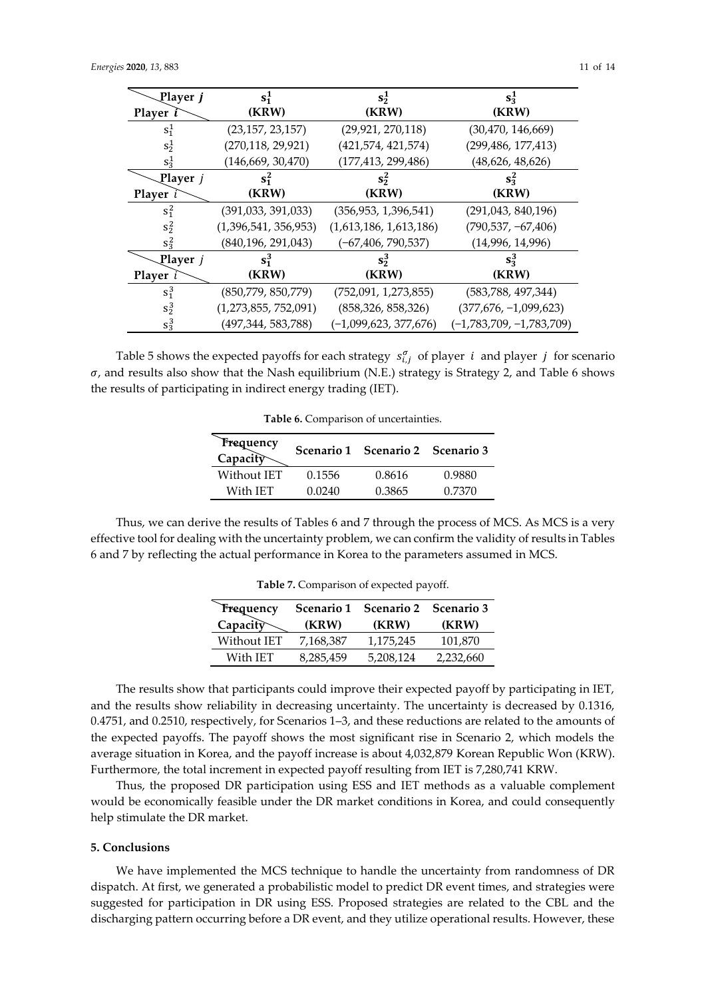|  | 11 of 14 |  |
|--|----------|--|
|  |          |  |

| Player <i>j</i> | $s_1^1$              | $s_2^1$                 | $s_3^1$                    |
|-----------------|----------------------|-------------------------|----------------------------|
| Player <i>i</i> | (KRW)                | (KRW)                   | (KRW)                      |
| $s_1^1$         | (23, 157, 23, 157)   | (29, 921, 270, 118)     | (30, 470, 146, 669)        |
| $s_2^1$         | (270, 118, 29, 921)  | (421, 574, 421, 574)    | (299, 486, 177, 413)       |
| $S_3^1$         | (146, 669, 30, 470)  | (177, 413, 299, 486)    | (48,626, 48,626)           |
| Player <i>j</i> | $s_1^2$              | $s_2^2$                 | $s_3^2$                    |
| Player i        | (KRW)                | (KRW)                   | (KRW)                      |
| $s_1^2$         | (391,033, 391,033)   | (356, 953, 1, 396, 541) | (291,043, 840,196)         |
| $s_2^2$         | (1,396,541,356,953)  | (1,613,186, 1,613,186)  | $(790, 537, -67, 406)$     |
| $s_3^2$         | (840, 196, 291, 043) | $(-67, 406, 790, 537)$  | (14,996, 14,996)           |
| Player <i>j</i> | $s_1^3$              | $s_2^3$                 | $S_3^3$                    |
| Player <i>i</i> | (KRW)                | (KRW)                   | (KRW)                      |
| $s_1^3$         | (850,779, 850,779)   | (752,091, 1,273,855)    | (583, 788, 497, 344)       |
| $s_2^3$         | (1,273,855,752,091)  | (858, 326, 858, 326)    | $(377, 676, -1, 099, 623)$ |
| $S_3^3$         | (497, 344, 583, 788) | $(-1,099,623,377,676)$  | (–1,783,709, –1,783,709)   |

Table 5 shows the expected payoffs for each strategy  $s_{i,j}^{\sigma}$  of player i and player j for scenario  $\sigma$ , and results also show that the Nash equilibrium (N.E.) strategy is Strategy 2, and Table 6 shows the results of participating in indirect energy trading (IET).

**Table 6.** Comparison of uncertainties.

| Frequency<br>Capacity |        | Scenario 1 Scenario 2 Scenario 3 |        |
|-----------------------|--------|----------------------------------|--------|
| Without IET           | 0.1556 | 0.8616                           | 0.9880 |
| With IET              | 0.0240 | 0.3865                           | 0.7370 |

Thus, we can derive the results of Tables 6 and 7 through the process of MCS. As MCS is a very effective tool for dealing with the uncertainty problem, we can confirm the validity of results in Tables 6 and 7 by reflecting the actual performance in Korea to the parameters assumed in MCS.

| Frequency   |           | Scenario 1 Scenario 2 Scenario 3 |           |
|-------------|-----------|----------------------------------|-----------|
| Capacity    | (KRW)     | (KRW)                            | (KRW)     |
| Without IET | 7,168,387 | 1,175,245                        | 101,870   |
| With IET    | 8,285,459 | 5,208,124                        | 2,232,660 |

**Table 7.** Comparison of expected payoff.

The results show that participants could improve their expected payoff by participating in IET, and the results show reliability in decreasing uncertainty. The uncertainty is decreased by 0.1316, 0.4751, and 0.2510, respectively, for Scenarios 1–3, and these reductions are related to the amounts of the expected payoffs. The payoff shows the most significant rise in Scenario 2, which models the average situation in Korea, and the payoff increase is about 4,032,879 Korean Republic Won (KRW). Furthermore, the total increment in expected payoff resulting from IET is 7,280,741 KRW.

Thus, the proposed DR participation using ESS and IET methods as a valuable complement would be economically feasible under the DR market conditions in Korea, and could consequently help stimulate the DR market.

### **5. Conclusions**

We have implemented the MCS technique to handle the uncertainty from randomness of DR dispatch. At first, we generated a probabilistic model to predict DR event times, and strategies were suggested for participation in DR using ESS. Proposed strategies are related to the CBL and the discharging pattern occurring before a DR event, and they utilize operational results. However, these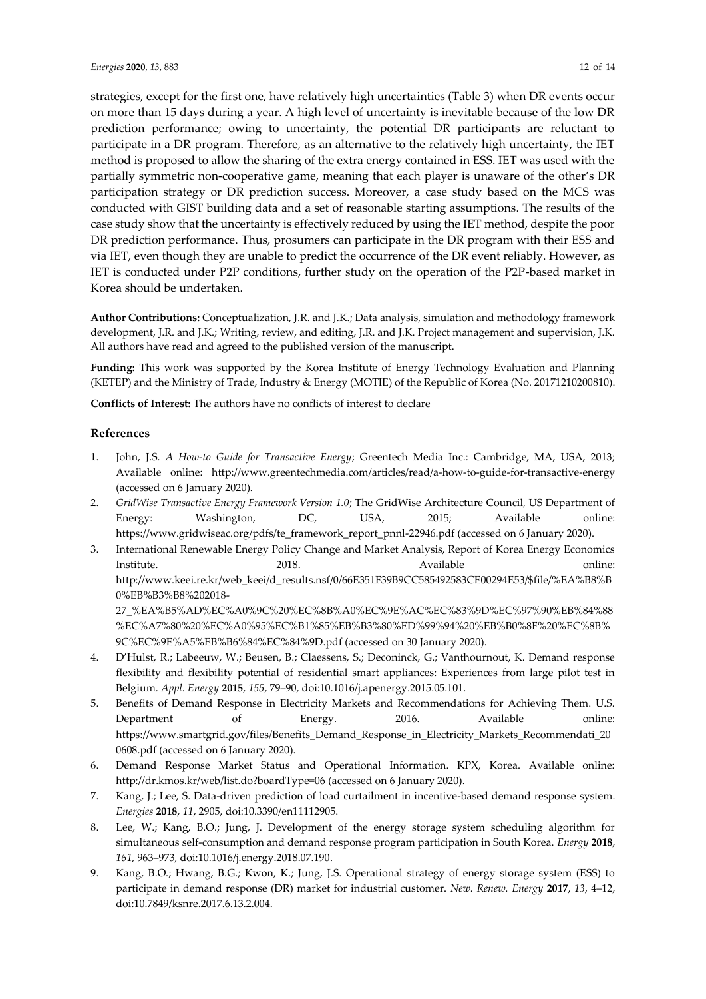strategies, except for the first one, have relatively high uncertainties (Table 3) when DR events occur on more than 15 days during a year. A high level of uncertainty is inevitable because of the low DR prediction performance; owing to uncertainty, the potential DR participants are reluctant to participate in a DR program. Therefore, as an alternative to the relatively high uncertainty, the IET method is proposed to allow the sharing of the extra energy contained in ESS. IET was used with the partially symmetric non-cooperative game, meaning that each player is unaware of the other's DR participation strategy or DR prediction success. Moreover, a case study based on the MCS was conducted with GIST building data and a set of reasonable starting assumptions. The results of the case study show that the uncertainty is effectively reduced by using the IET method, despite the poor DR prediction performance. Thus, prosumers can participate in the DR program with their ESS and via IET, even though they are unable to predict the occurrence of the DR event reliably. However, as IET is conducted under P2P conditions, further study on the operation of the P2P-based market in Korea should be undertaken.

**Author Contributions:** Conceptualization, J.R. and J.K.; Data analysis, simulation and methodology framework development, J.R. and J.K.; Writing, review, and editing, J.R. and J.K. Project management and supervision, J.K. All authors have read and agreed to the published version of the manuscript.

**Funding:** This work was supported by the Korea Institute of Energy Technology Evaluation and Planning (KETEP) and the Ministry of Trade, Industry & Energy (MOTIE) of the Republic of Korea (No. 20171210200810).

**Conflicts of Interest:** The authors have no conflicts of interest to declare

# **References**

- 1. John, J.S. *A How-to Guide for Transactive Energy*; Greentech Media Inc.: Cambridge, MA, USA, 2013; Available online: http://www.greentechmedia.com/articles/read/a-how-to-guide-for-transactive-energy (accessed on 6 January 2020).
- 2. *GridWise Transactive Energy Framework Version 1.0*; The GridWise Architecture Council, US Department of Energy: Washington, DC, USA, 2015; Available online: https://www.gridwiseac.org/pdfs/te\_framework\_report\_pnnl-22946.pdf (accessed on 6 January 2020).
- 3. International Renewable Energy Policy Change and Market Analysis, Report of Korea Energy Economics Institute. 2018. Available online: http://www.keei.re.kr/web\_keei/d\_results.nsf/0/66E351F39B9CC585492583CE00294E53/\$file/%EA%B8%B 0%EB%B3%B8%202018-

27\_%EA%B5%AD%EC%A0%9C%20%EC%8B%A0%EC%9E%AC%EC%83%9D%EC%97%90%EB%84%88 %EC%A7%80%20%EC%A0%95%EC%B1%85%EB%B3%80%ED%99%94%20%EB%B0%8F%20%EC%8B% 9C%EC%9E%A5%EB%B6%84%EC%84%9D.pdf (accessed on 30 January 2020).

- 4. D'Hulst, R.; Labeeuw, W.; Beusen, B.; Claessens, S.; Deconinck, G.; Vanthournout, K. Demand response flexibility and flexibility potential of residential smart appliances: Experiences from large pilot test in Belgium. *Appl. Energy* **2015**, *155*, 79–90, doi:10.1016/j.apenergy.2015.05.101.
- 5. Benefits of Demand Response in Electricity Markets and Recommendations for Achieving Them. U.S. Department of Energy. 2016. Available online: https://www.smartgrid.gov/files/Benefits\_Demand\_Response\_in\_Electricity\_Markets\_Recommendati\_20 0608.pdf (accessed on 6 January 2020).
- 6. Demand Response Market Status and Operational Information. KPX, Korea. Available online: http://dr.kmos.kr/web/list.do?boardType=06 (accessed on 6 January 2020).
- 7. Kang, J.; Lee, S. Data-driven prediction of load curtailment in incentive-based demand response system. *Energies* **2018**, *11*, 2905, doi:10.3390/en11112905.
- 8. Lee, W.; Kang, B.O.; Jung, J. Development of the energy storage system scheduling algorithm for simultaneous self-consumption and demand response program participation in South Korea. *Energy* **2018**, *161*, 963–973, doi:10.1016/j.energy.2018.07.190.
- 9. Kang, B.O.; Hwang, B.G.; Kwon, K.; Jung, J.S. Operational strategy of energy storage system (ESS) to participate in demand response (DR) market for industrial customer. *New. Renew. Energy* **2017**, *13*, 4–12, doi:10.7849/ksnre.2017.6.13.2.004.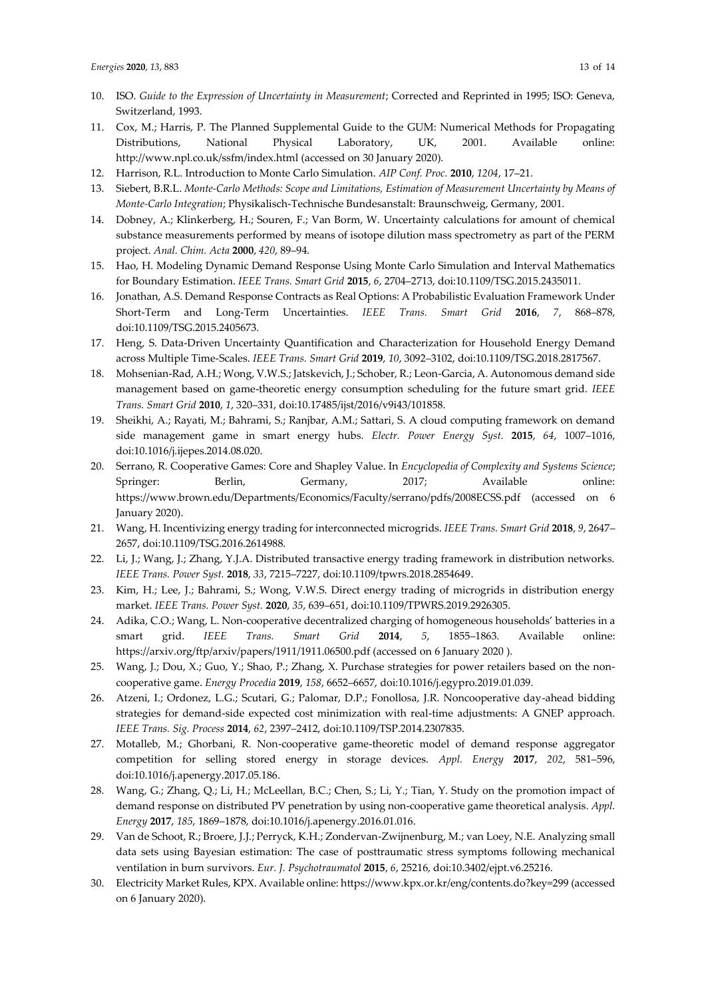- 10. ISO. *Guide to the Expression of Uncertainty in Measurement*; Corrected and Reprinted in 1995; ISO: Geneva, Switzerland, 1993.
- 11. Cox, M.; Harris, P. The Planned Supplemental Guide to the GUM: Numerical Methods for Propagating Distributions, National Physical Laboratory, UK, 2001. Available online: http://www.npl.co.uk/ssfm/index.html (accessed on 30 January 2020).
- 12. Harrison, R.L. Introduction to Monte Carlo Simulation. *AIP Conf. Proc.* **2010**, *1204*, 17–21.
- 13. Siebert, B.R.L. *Monte-Carlo Methods: Scope and Limitations, Estimation of Measurement Uncertainty by Means of Monte-Carlo Integration*; Physikalisch-Technische Bundesanstalt: Braunschweig, Germany, 2001.
- 14. Dobney, A.; Klinkerberg, H.; Souren, F.; Van Borm, W. Uncertainty calculations for amount of chemical substance measurements performed by means of isotope dilution mass spectrometry as part of the PERM project. *Anal. Chim. Acta* **2000**, *420*, 89–94.
- 15. Hao, H. Modeling Dynamic Demand Response Using Monte Carlo Simulation and Interval Mathematics for Boundary Estimation. *IEEE Trans. Smart Grid* **2015**, *6*, 2704–2713, doi:10.1109/TSG.2015.2435011.
- 16. Jonathan, A.S. Demand Response Contracts as Real Options: A Probabilistic Evaluation Framework Under Short-Term and Long-Term Uncertainties. *IEEE Trans. Smart Grid* **2016**, *7*, 868–878, doi:10.1109/TSG.2015.2405673.
- 17. Heng, S. Data-Driven Uncertainty Quantification and Characterization for Household Energy Demand across Multiple Time-Scales. *IEEE Trans. Smart Grid* **2019**, *10*, 3092–3102, doi:10.1109/TSG.2018.2817567.
- 18. Mohsenian-Rad, A.H.; Wong, V.W.S.; Jatskevich, J.; Schober, R.; Leon-Garcia, A. Autonomous demand side management based on game-theoretic energy consumption scheduling for the future smart grid. *IEEE Trans. Smart Grid* **2010**, *1*, 320–331, doi:10.17485/ijst/2016/v9i43/101858.
- 19. Sheikhi, A.; Rayati, M.; Bahrami, S.; Ranjbar, A.M.; Sattari, S. A cloud computing framework on demand side management game in smart energy hubs. *Electr. Power Energy Syst.* **2015**, *64*, 1007–1016, doi:10.1016/j.ijepes.2014.08.020.
- 20. Serrano, R. Cooperative Games: Core and Shapley Value. In *Encyclopedia of Complexity and Systems Science*; Springer: Berlin, Germany, 2017; Available online: https://www.brown.edu/Departments/Economics/Faculty/serrano/pdfs/2008ECSS.pdf (accessed on 6 January 2020).
- 21. Wang, H. Incentivizing energy trading for interconnected microgrids. *IEEE Trans. Smart Grid* **2018**, *9*, 2647– 2657, doi:10.1109/TSG.2016.2614988.
- 22. Li, J.; Wang, J.; Zhang, Y.J.A. Distributed transactive energy trading framework in distribution networks. *IEEE Trans. Power Syst.* **2018**, *33*, 7215–7227, doi:10.1109/tpwrs.2018.2854649.
- 23. Kim, H.; Lee, J.; Bahrami, S.; Wong, V.W.S. Direct energy trading of microgrids in distribution energy market. *IEEE Trans. Power Syst.* **2020**, *35*, 639–651, doi:10.1109/TPWRS.2019.2926305.
- 24. Adika, C.O.; Wang, L. Non-cooperative decentralized charging of homogeneous households' batteries in a smart grid. *IEEE Trans. Smart Grid* **2014**, *5*, 1855–1863. Available online: https://arxiv.org/ftp/arxiv/papers/1911/1911.06500.pdf (accessed on 6 January 2020 ).
- 25. Wang, J.; Dou, X.; Guo, Y.; Shao, P.; Zhang, X. Purchase strategies for power retailers based on the noncooperative game. *Energy Procedia* **2019**, *158*, 6652–6657, doi:10.1016/j.egypro.2019.01.039.
- 26. Atzeni, I.; Ordonez, L.G.; Scutari, G.; Palomar, D.P.; Fonollosa, J.R. Noncooperative day-ahead bidding strategies for demand-side expected cost minimization with real-time adjustments: A GNEP approach. *IEEE Trans. Sig. Process* **2014**, *62*, 2397–2412, doi:10.1109/TSP.2014.2307835.
- 27. Motalleb, M.; Ghorbani, R. Non-cooperative game-theoretic model of demand response aggregator competition for selling stored energy in storage devices. *Appl. Energy* **2017**, *202*, 581–596, doi:10.1016/j.apenergy.2017.05.186.
- 28. Wang, G.; Zhang, Q.; Li, H.; McLeellan, B.C.; Chen, S.; Li, Y.; Tian, Y. Study on the promotion impact of demand response on distributed PV penetration by using non-cooperative game theoretical analysis. *Appl. Energy* **2017**, *185*, 1869–1878, doi:10.1016/j.apenergy.2016.01.016.
- 29. Van de Schoot, R.; Broere, J.J.; Perryck, K.H.; Zondervan-Zwijnenburg, M.; van Loey, N.E. Analyzing small data sets using Bayesian estimation: The case of posttraumatic stress symptoms following mechanical ventilation in burn survivors. *Eur. J. Psychotraumatol* **2015**, *6*, 25216, doi:10.3402/ejpt.v6.25216.
- 30. Electricity Market Rules, KPX. Available online: https://www.kpx.or.kr/eng/contents.do?key=299 (accessed on 6 January 2020).